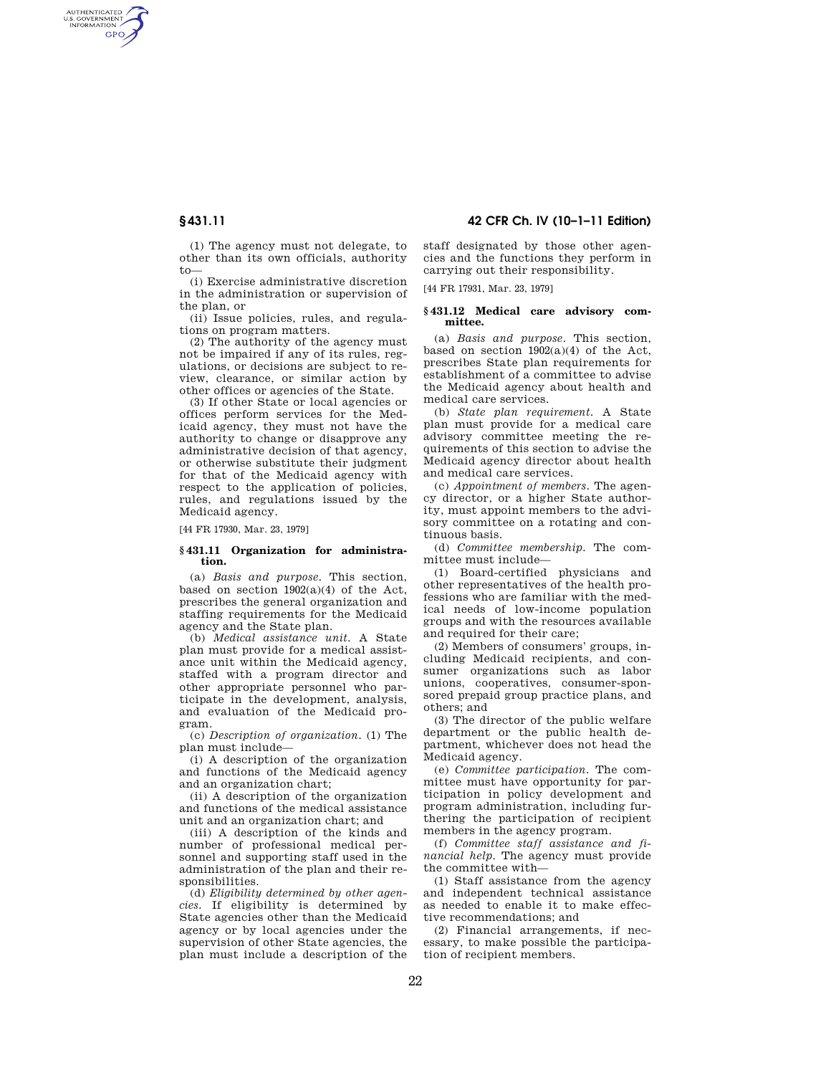AUTHENTICATED<br>U.S. GOVERNMENT<br>INFORMATION **GPO** 

> (1) The agency must not delegate, to other than its own officials, authority to—

> (i) Exercise administrative discretion in the administration or supervision of the plan, or

> (ii) Issue policies, rules, and regulations on program matters.

> (2) The authority of the agency must not be impaired if any of its rules, regulations, or decisions are subject to review, clearance, or similar action by other offices or agencies of the State.

> (3) If other State or local agencies or offices perform services for the Medicaid agency, they must not have the authority to change or disapprove any administrative decision of that agency, or otherwise substitute their judgment for that of the Medicaid agency with respect to the application of policies, rules, and regulations issued by the Medicaid agency.

[44 FR 17930, Mar. 23, 1979]

#### **§ 431.11 Organization for administration.**

(a) *Basis and purpose.* This section, based on section 1902(a)(4) of the Act, prescribes the general organization and staffing requirements for the Medicaid agency and the State plan.

(b) *Medical assistance unit.* A State plan must provide for a medical assistance unit within the Medicaid agency, staffed with a program director and other appropriate personnel who participate in the development, analysis, and evaluation of the Medicaid program.

(c) *Description of organization.* (1) The plan must include—

(i) A description of the organization and functions of the Medicaid agency and an organization chart;

(ii) A description of the organization and functions of the medical assistance unit and an organization chart; and

(iii) A description of the kinds and number of professional medical personnel and supporting staff used in the administration of the plan and their responsibilities.

(d) *Eligibility determined by other agencies.* If eligibility is determined by State agencies other than the Medicaid agency or by local agencies under the supervision of other State agencies, the plan must include a description of the

**§ 431.11 42 CFR Ch. IV (10–1–11 Edition)** 

staff designated by those other agencies and the functions they perform in carrying out their responsibility.

[44 FR 17931, Mar. 23, 1979]

## **§ 431.12 Medical care advisory committee.**

(a) *Basis and purpose.* This section, based on section  $1902(a)(4)$  of the Act, prescribes State plan requirements for establishment of a committee to advise the Medicaid agency about health and medical care services.

(b) *State plan requirement.* A State plan must provide for a medical care advisory committee meeting the requirements of this section to advise the Medicaid agency director about health and medical care services.

(c) *Appointment of members.* The agency director, or a higher State authority, must appoint members to the advisory committee on a rotating and continuous basis.

(d) *Committee membership.* The committee must include—

(1) Board-certified physicians and other representatives of the health professions who are familiar with the medical needs of low-income population groups and with the resources available and required for their care;

(2) Members of consumers' groups, including Medicaid recipients, and consumer organizations such as labor unions, cooperatives, consumer-sponsored prepaid group practice plans, and others; and

(3) The director of the public welfare department or the public health department, whichever does not head the Medicaid agency.

(e) *Committee participation.* The committee must have opportunity for participation in policy development and program administration, including furthering the participation of recipient members in the agency program.

(f) *Committee staff assistance and financial help.* The agency must provide the committee with—

(1) Staff assistance from the agency and independent technical assistance as needed to enable it to make effective recommendations; and

(2) Financial arrangements, if necessary, to make possible the participation of recipient members.